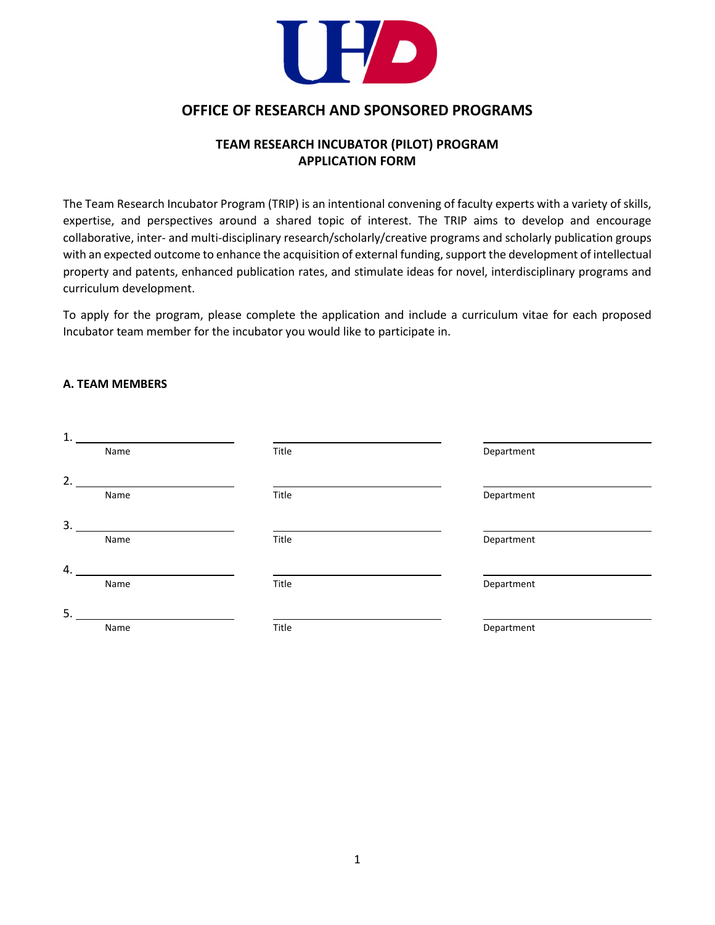

# **OFFICE OF RESEARCH AND SPONSORED PROGRAMS**

## **TEAM RESEARCH INCUBATOR (PILOT) PROGRAM APPLICATION FORM**

The Team Research Incubator Program (TRIP) is an intentional convening of faculty experts with a variety of skills, expertise, and perspectives around a shared topic of interest. The TRIP aims to develop and encourage collaborative, inter- and multi-disciplinary research/scholarly/creative programs and scholarly publication groups with an expected outcome to enhance the acquisition of external funding, support the development of intellectual property and patents, enhanced publication rates, and stimulate ideas for novel, interdisciplinary programs and curriculum development.

To apply for the program, please complete the application and include a curriculum vitae for each proposed Incubator team member for the incubator you would like to participate in.

#### **A. TEAM MEMBERS**

| 1. |      |       |            |
|----|------|-------|------------|
|    | Name | Title | Department |
| 2. |      |       |            |
|    | Name | Title | Department |
| 3. |      |       |            |
|    | Name | Title | Department |
| 4. |      |       |            |
|    | Name | Title | Department |
| 5. |      |       |            |
|    | Name | Title | Department |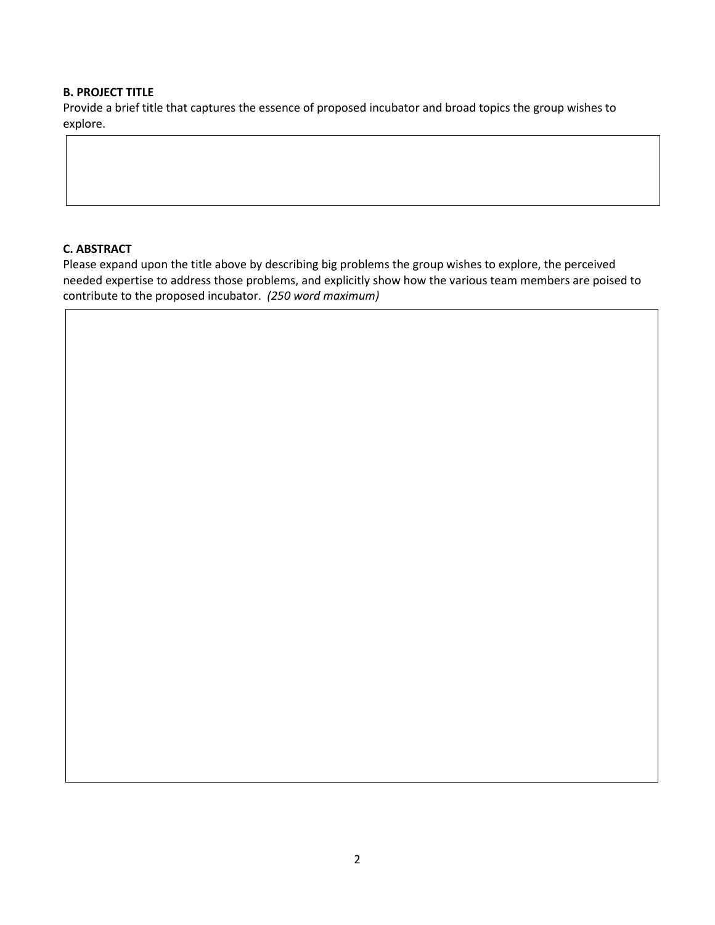#### **B. PROJECT TITLE**

Provide a brief title that captures the essence of proposed incubator and broad topics the group wishes to explore.

### **C. ABSTRACT**

Please expand upon the title above by describing big problems the group wishes to explore, the perceived needed expertise to address those problems, and explicitly show how the various team members are poised to contribute to the proposed incubator. *(250 word maximum)*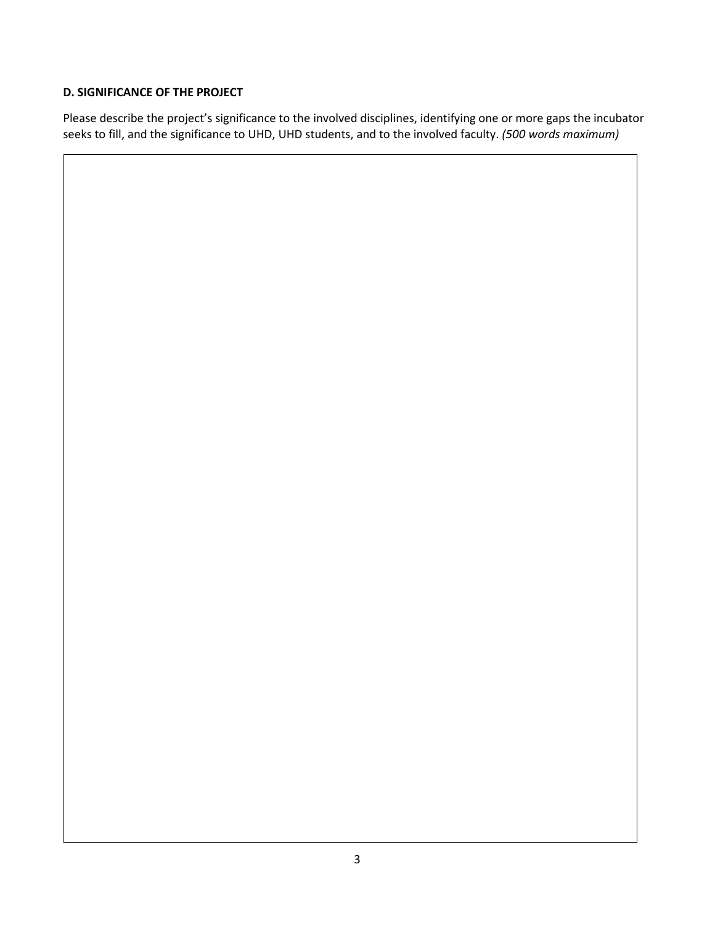## **D. SIGNIFICANCE OF THE PROJECT**

Please describe the project's significance to the involved disciplines, identifying one or more gaps the incubator seeks to fill, and the significance to UHD, UHD students, and to the involved faculty. *(500 words maximum)*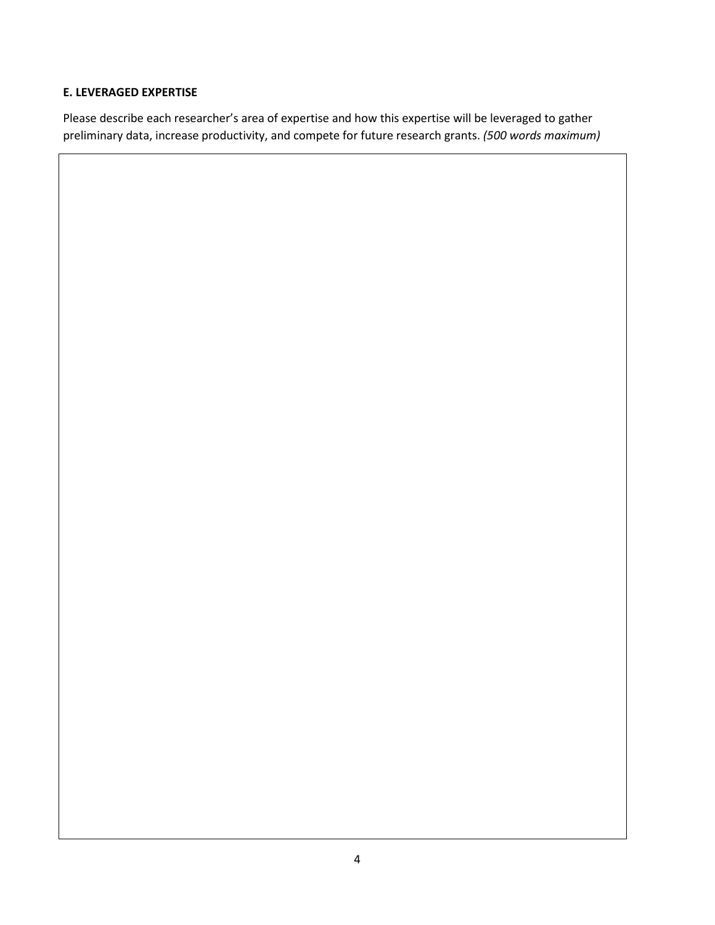#### **E. LEVERAGED EXPERTISE**

Please describe each researcher's area of expertise and how this expertise will be leveraged to gather preliminary data, increase productivity, and compete for future research grants. *(500 words maximum)*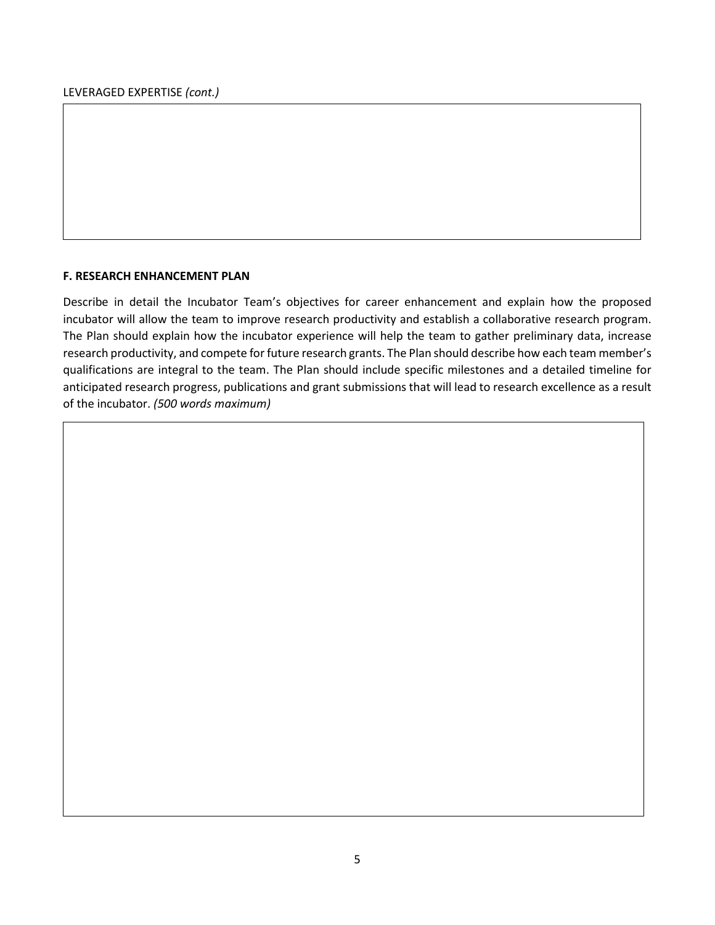#### **F. RESEARCH ENHANCEMENT PLAN**

Describe in detail the Incubator Team's objectives for career enhancement and explain how the proposed incubator will allow the team to improve research productivity and establish a collaborative research program. The Plan should explain how the incubator experience will help the team to gather preliminary data, increase research productivity, and compete for future research grants. The Plan should describe how each team member's qualifications are integral to the team. The Plan should include specific milestones and a detailed timeline for anticipated research progress, publications and grant submissions that will lead to research excellence as a result of the incubator. *(500 words maximum)*